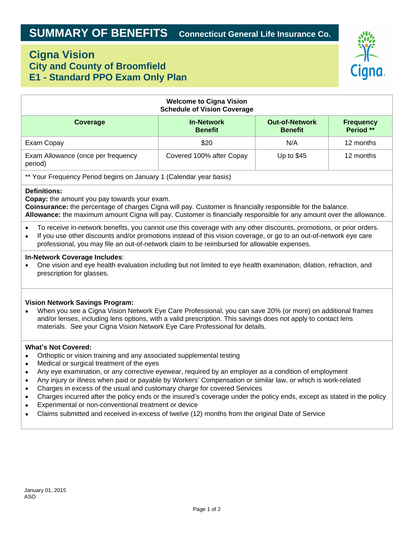# **Cigna Vision City and County of Broomfield E1 - Standard PPO Exam Only Plan**



| <b>Welcome to Cigna Vision</b><br><b>Schedule of Vision Coverage</b>                                                                                                                                                                                                                                                                                                                                                                                                                                                                                                                                                                                                                      |                                     |                                         |                               |
|-------------------------------------------------------------------------------------------------------------------------------------------------------------------------------------------------------------------------------------------------------------------------------------------------------------------------------------------------------------------------------------------------------------------------------------------------------------------------------------------------------------------------------------------------------------------------------------------------------------------------------------------------------------------------------------------|-------------------------------------|-----------------------------------------|-------------------------------|
| <b>Coverage</b>                                                                                                                                                                                                                                                                                                                                                                                                                                                                                                                                                                                                                                                                           | <b>In-Network</b><br><b>Benefit</b> | <b>Out-of-Network</b><br><b>Benefit</b> | <b>Frequency</b><br>Period ** |
| Exam Copay                                                                                                                                                                                                                                                                                                                                                                                                                                                                                                                                                                                                                                                                                | \$20                                | N/A                                     | 12 months                     |
| Exam Allowance (once per frequency<br>period)                                                                                                                                                                                                                                                                                                                                                                                                                                                                                                                                                                                                                                             | Covered 100% after Copay            | Up to \$45                              | 12 months                     |
| ** Your Frequency Period begins on January 1 (Calendar year basis)                                                                                                                                                                                                                                                                                                                                                                                                                                                                                                                                                                                                                        |                                     |                                         |                               |
| <b>Definitions:</b><br>Copay: the amount you pay towards your exam.<br>Coinsurance: the percentage of charges Cigna will pay. Customer is financially responsible for the balance.<br>Allowance: the maximum amount Cigna will pay. Customer is financially responsible for any amount over the allowance.                                                                                                                                                                                                                                                                                                                                                                                |                                     |                                         |                               |
| To receive in-network benefits, you cannot use this coverage with any other discounts, promotions, or prior orders.<br>$\bullet$<br>If you use other discounts and/or promotions instead of this vision coverage, or go to an out-of-network eye care<br>$\bullet$<br>professional, you may file an out-of-network claim to be reimbursed for allowable expenses.                                                                                                                                                                                                                                                                                                                         |                                     |                                         |                               |
| In-Network Coverage Includes:<br>One vision and eye health evaluation including but not limited to eye health examination, dilation, refraction, and<br>prescription for glasses.                                                                                                                                                                                                                                                                                                                                                                                                                                                                                                         |                                     |                                         |                               |
| <b>Vision Network Savings Program:</b><br>When you see a Cigna Vision Network Eye Care Professional, you can save 20% (or more) on additional frames<br>and/or lenses, including lens options, with a valid prescription. This savings does not apply to contact lens<br>materials. See your Cigna Vision Network Eye Care Professional for details.                                                                                                                                                                                                                                                                                                                                      |                                     |                                         |                               |
| <b>What's Not Covered:</b><br>Orthoptic or vision training and any associated supplemental testing<br>Medical or surgical treatment of the eyes<br>Any eye examination, or any corrective eyewear, required by an employer as a condition of employment<br>$\bullet$<br>Any injury or illness when paid or payable by Workers' Compensation or similar law, or which is work-related<br>$\bullet$<br>Charges in excess of the usual and customary charge for covered Services<br>$\bullet$<br>Charges incurred after the policy ends or the insured's coverage under the policy ends, except as stated in the policy<br>$\bullet$<br>Experimental or non-conventional treatment or device |                                     |                                         |                               |

Claims submitted and received in-excess of twelve (12) months from the original Date of Service